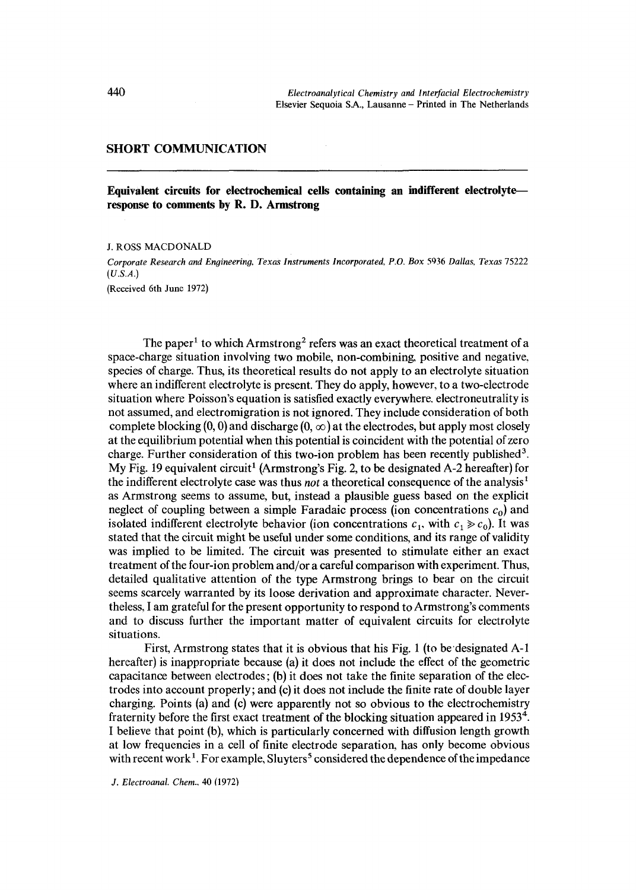## SHORT COMMUNICATION

**Equivalent circuits for electrochemical cells containing an indifferent electrolyte response to comments by R. D. Armstrong** 

J. ROSS MACDONALD

*Corporate Research and Engineerino, Texas Instruments Incorporated, P.O. Box* 5936 *Dallas, Texas* 75222 *(U.S.A.)*  (Received 6th June 1972)

The paper<sup>1</sup> to which Armstrong<sup>2</sup> refers was an exact theoretical treatment of a space-charge situation involving two mobile, non-combining, positive and negative, species of charge. Thus, its theoretical results do not apply to an electrolyte situation where an indifferent electrolyte is present. They do apply, however, to a two-electrode situation where Poisson's equation is satisfied exactly everywhere, electroneutrality is not assumed, and electromigration is not ignored. They include consideration of both complete blocking  $(0, 0)$  and discharge  $(0, \infty)$  at the electrodes, but apply most closely at the equilibrium potential when this potential is coincident with the potential of zero charge. Further consideration of this two-ion problem has been recently published<sup>3</sup>. My Fig. 19 equivalent circuit<sup>1</sup> (Armstrong's Fig. 2, to be designated A-2 hereafter) for the indifferent electrolyte case was thus *not* a theoretical consequence of the analysis<sup>1</sup> as Armstrong seems to assume, but, instead a plausible guess based on the explicit neglect of coupling between a simple Faradaic process (ion concentrations  $c_0$ ) and isolated indifferent electrolyte behavior (ion concentrations  $c_1$ , with  $c_1 \ge c_0$ ). It was stated that the circuit might be useful under some conditions, and its range of validity was implied to be limited. The circuit was presented to stimulate either an exact treatment of the four-ion problem and/or a careful comparison with experiment. Thus, detailed qualitative attention of the type Armstrong brings to bear on the circuit seems scarcely warranted by its loose derivation and approximate character. Nevertheless, I am grateful for the present opportunity to respond to Armstrong's comments and to discuss further the important matter of equivalent circuits for electrolyte situations.

First, Armstrong states that it is obvious that his Fig. 1 (to be'designated A-1 hereafter) is inappropriate because (a) it does not include the effect of the geometric capacitance between electrodes; (b) it does not take the finite separation of the electrodes into account properly; and (c) it does not include the finite rate of double layer charging. Points (a) and (c) were apparently not so obvious to the electrochemistry fraternity before the first exact treatment of the blocking situation appeared in 1953<sup>4</sup>. ! believe that point (b), which is particularly concerned with diffusion length growth at low frequencies in a cell of finite electrode separation, has only become obvious with recent work<sup>1</sup>. For example, Sluyters<sup>5</sup> considered the dependence of the impedance

*J. Electroanal. Chem..* 40 (1972)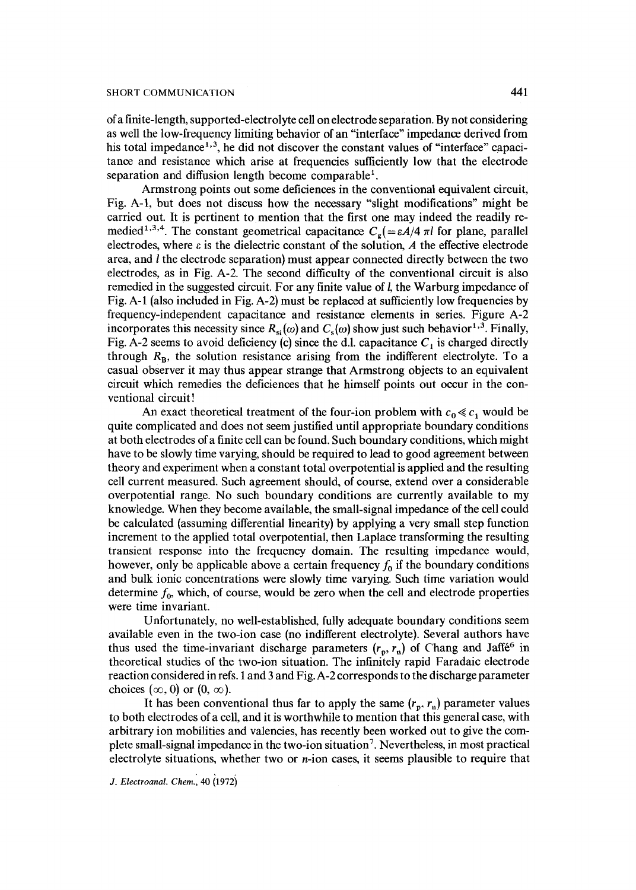of a finite-length, supported-electrolyte cell on electrode separation. By not considering as well the low-frequency limiting behavior of an "interface" impedance derived from his total impedance<sup> $1,3$ </sup>, he did not discover the constant values of "interface" capacitance and resistance which arise at frequencies sufficiently low that the electrode separation and diffusion length become comparable<sup>1</sup>.

Armstrong points out some deficiences in the conventional equivalent circuit, Fig. A-I, but does not discuss how the necessary "slight modifications" might be carried out. It is pertinent to mention that the first one may indeed the readily remedied<sup>1,3,4</sup>. The constant geometrical capacitance  $C_g$ (= $\epsilon A/4 \pi l$  for plane, parallel electrodes, where  $\varepsilon$  is the dielectric constant of the solution, A the effective electrode area, and I the electrode separation) must appear connected directly between the two electrodes, as in Fig. A-2. The second difficulty of the conventional circuit is also remedied in the suggested circuit. For any finite value of l, the Warburg impedance of Fig. A-1 (also included in Fig. A-2) must be replaced at sufficiently low frequencies by frequency-independent capacitance and resistance elements in series. Figure A-2 incorporates this necessity since  $R_{si}(\omega)$  and  $C_{s}(\omega)$  show just such behavior<sup>1,3</sup>. Finally, Fig. A-2 seems to avoid deficiency (c) since the d.l. capacitance  $C_1$  is charged directly through  $R_B$ , the solution resistance arising from the indifferent electrolyte. To a casual observer it may thus appear strange that Armstrong objects to an equivalent circuit which remedies the deficiences that he himself points out occur in the conventional circuit !

An exact theoretical treatment of the four-ion problem with  $c_0 \ll c_1$  would be quite complicated and does not seem justified until appropriate boundary conditions at both electrodes of a finite cell can be found. Such boundary conditions, which might have to be slowly time varying, should be required to lead to good agreement between theory and experiment when a constant total overpotential is applied and the resulting cell current measured. Such agreement should, of course, extend over a considerable overpotential range. No such boundary conditions are currently available to my knowledge. When they become available, the small-signal impedance of the cell could be calculated (assuming differential linearity) by applying a very small step function increment to the applied total overpotential, then Laplace transforming the resulting transient response into the frequency domain. The resulting impedance would, however, only be applicable above a certain frequency  $f_0$  if the boundary conditions and bulk ionic concentrations were slowly time varying. Such time variation would determine  $f_0$ , which, of course, would be zero when the cell and electrode properties were time invariant.

Unfortunately, no well-established, fully adequate boundary conditions seem available even in the two-ion case (no indifferent electrolyte). Several authors have thus used the time-invariant discharge parameters  $(r_p, r_p)$  of Chang and Jaffé<sup>6</sup> in theoretical studies of the two-ion situation. The infinitely rapid Faradaic electrode reaction considered in refs. 1 and 3 and Fig. A-2 corresponds to the discharge parameter choices  $(\infty, 0)$  or  $(0, \infty)$ .

It has been conventional thus far to apply the same  $(r_p, r_n)$  parameter values to both electrodes of a cell, and it is worthwhile to mention that this general case, with arbitrary ion mobilities and valencies, has recently been worked out to give the complete small-signal impedance in the two-ion situation 7. Nevertheless, in most practical electrolyte situations, whether two or  $n$ -ion cases, it seems plausible to require that

*J. Electroanal. Chem.*, 40 (1972)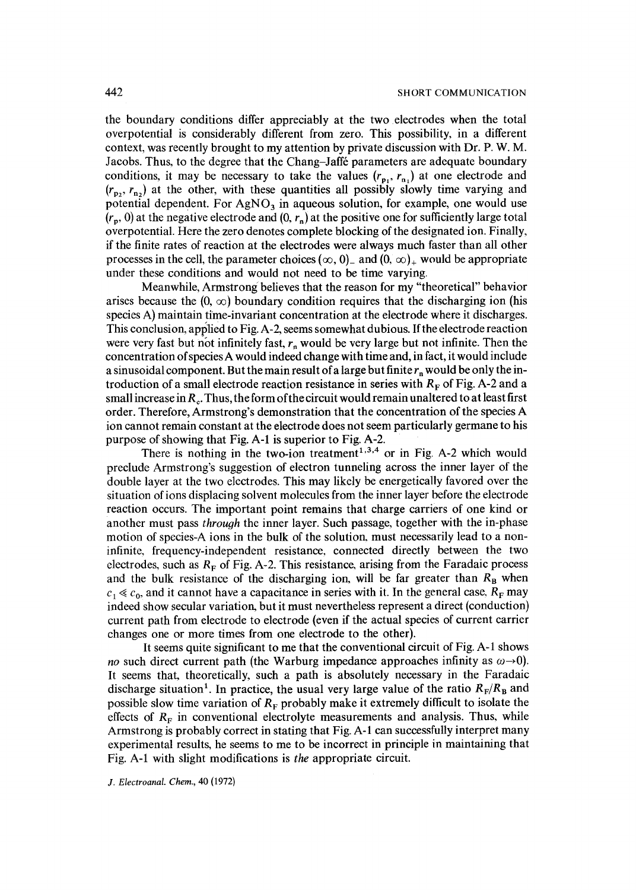the boundary conditions differ appreciably at the two electrodes when the total overpotential is considerably different from zero. This possibility, in a different context, was recently brought to my attention by private discussion with Dr. P. W. M. Jacobs. Thus, to the degree that the Chang-Jaffé parameters are adequate boundary conditions, it may be necessary to take the values  $(r_{p_1}, r_{p_1})$  at one electrode and  $(r_{p_2}, r_{n_2})$  at the other, with these quantities all possibly slowly time varying and potential dependent. For  $AgNO<sub>3</sub>$  in aqueous solution, for example, one would use  $(r_n, 0)$  at the negative electrode and  $(0, r_n)$  at the positive one for sufficiently large total overpotential. Here the zero denotes complete blocking of the designated ion. Finally, if the finite rates of reaction at the electrodes were always much faster than all other processes in the cell, the parameter choices  $(\infty, 0)$  and  $(0, \infty)$  would be appropriate under these conditions and would not need to be time varying.

Meanwhile, Armstrong believes that the reason for my "theoretical" behavior arises because the  $(0, \infty)$  boundary condition requires that the discharging ion (his species A) maintain time-invariant concentration at the electrode where it discharges. This conclusion, applied to Fig. A-2, seems somewhat dubious. If the electrode reaction were very fast but not infinitely fast,  $r_n$  would be very large but not infinite. Then the concentration of species A would indeed change with time and, in fact, it would include a sinusoidal component. But the main result of a large but finite  $r_p$  would be only the introduction of a small electrode reaction resistance in series with  $R<sub>F</sub>$  of Fig. A-2 and a small increase in  $R<sub>c</sub>$ . Thus, the form of the circuit would remain unaltered to at least first order. Therefore, Armstrong's demonstration that the concentration of the species A ion cannot remain constant at the electrode does not seem particularly germane to his purpose of showing that Fig. A-1 is superior to Fig. A-2.

There is nothing in the two-ion treatment<sup> $1,3,4$ </sup> or in Fig. A-2 which would preclude Armstrong's suggestion of electron tunneling across the inner layer of the double layer at the two electrodes. This may likely be energetically favored over the situation of ions displacing solvent molecules from the inner layer before the electrode reaction occurs. The important point remains that charge carriers of one kind or another must pass *throuoh* the inner layer. Such passage, together with the in-phase motion of species-A ions in the bulk of the solution, must necessarily lead to a noninfinite, frequency-independent resistance, connected directly between the two electrodes, such as  $R_F$  of Fig. A-2. This resistance, arising from the Faradaic process and the bulk resistance of the discharging ion, will be far greater than  $R_B$  when  $c_1 \ll c_0$ , and it cannot have a capacitance in series with it. In the general case,  $R_F$  may indeed show secular variation, but it must nevertheless represent a direct (conduction) current path from electrode to electrode (even if the actual species of current carrier changes one or more times from one electrode to the other).

It seems quite significant to me that the conventional circuit of Fig. A-1 shows *no* such direct current path (the Warburg impedance approaches infinity as  $\omega \rightarrow 0$ ). It seems that, theoretically, such a path is absolutely necessary in the Faradaic discharge situation<sup>1</sup>. In practice, the usual very large value of the ratio  $R_F/R_B$  and possible slow time variation of  $R_F$  probably make it extremely difficult to isolate the effects of  $R_F$  in conventional electrolyte measurements and analysis. Thus, while Armstrong is probably correct in stating that Fig. A-1 can successfully interpret many experimental results, he seems to me to be incorrect in principle in maintaining that Fig. A-1 with slight modifications is the appropriate circuit.

*J. Electroanal. Chem.,* 40 (1972)